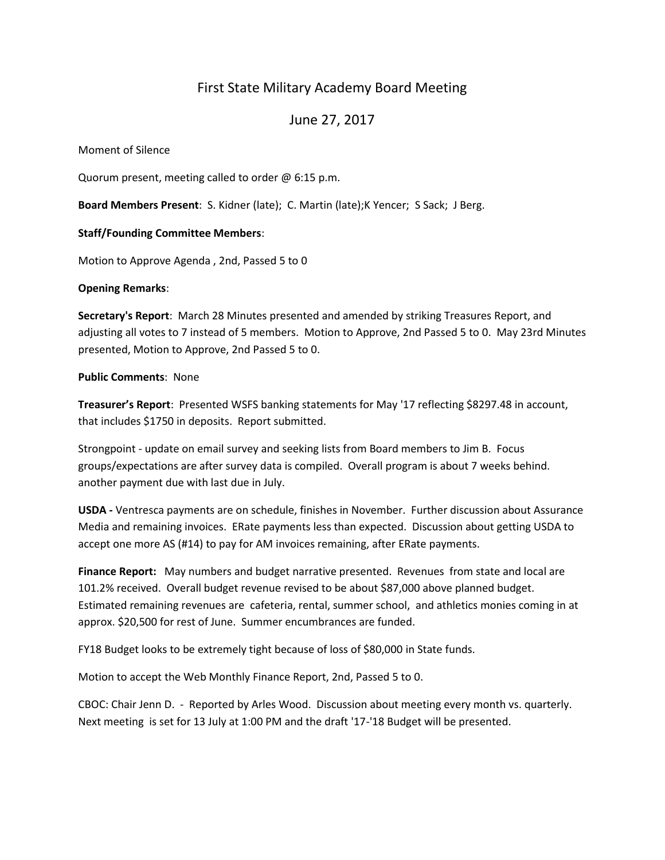# First State Military Academy Board Meeting

June 27, 2017

Moment of Silence

Quorum present, meeting called to order @ 6:15 p.m.

**Board Members Present**: S. Kidner (late); C. Martin (late);K Yencer; S Sack; J Berg.

# **Staff/Founding Committee Members**:

Motion to Approve Agenda , 2nd, Passed 5 to 0

### **Opening Remarks**:

**Secretary's Report**: March 28 Minutes presented and amended by striking Treasures Report, and adjusting all votes to 7 instead of 5 members. Motion to Approve, 2nd Passed 5 to 0. May 23rd Minutes presented, Motion to Approve, 2nd Passed 5 to 0.

### **Public Comments**: None

**Treasurer's Report**: Presented WSFS banking statements for May '17 reflecting \$8297.48 in account, that includes \$1750 in deposits. Report submitted.

Strongpoint - update on email survey and seeking lists from Board members to Jim B. Focus groups/expectations are after survey data is compiled. Overall program is about 7 weeks behind. another payment due with last due in July.

**USDA -** Ventresca payments are on schedule, finishes in November. Further discussion about Assurance Media and remaining invoices. ERate payments less than expected. Discussion about getting USDA to accept one more AS (#14) to pay for AM invoices remaining, after ERate payments.

**Finance Report:** May numbers and budget narrative presented. Revenues from state and local are 101.2% received. Overall budget revenue revised to be about \$87,000 above planned budget. Estimated remaining revenues are cafeteria, rental, summer school, and athletics monies coming in at approx. \$20,500 for rest of June. Summer encumbrances are funded.

FY18 Budget looks to be extremely tight because of loss of \$80,000 in State funds.

Motion to accept the Web Monthly Finance Report, 2nd, Passed 5 to 0.

CBOC: Chair Jenn D. - Reported by Arles Wood. Discussion about meeting every month vs. quarterly. Next meeting is set for 13 July at 1:00 PM and the draft '17-'18 Budget will be presented.